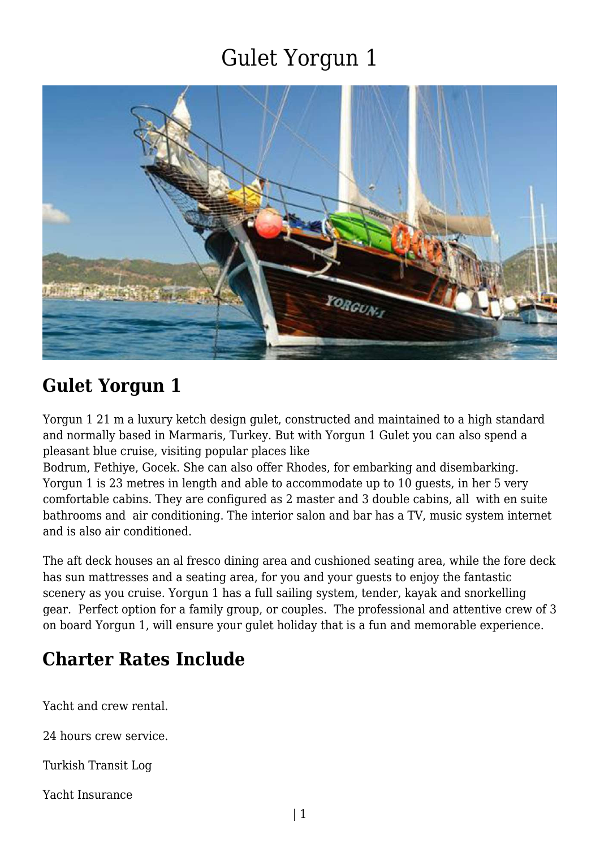

### **Gulet Yorgun 1**

Yorgun 1 21 m a luxury ketch design gulet, constructed and maintained to a high standard and normally based in Marmaris, Turkey. But with Yorgun 1 Gulet you can also spend a pleasant blue cruise, visiting popular places like

Bodrum, Fethiye, Gocek. She can also offer Rhodes, for embarking and disembarking. Yorgun 1 is 23 metres in length and able to accommodate up to 10 guests, in her 5 very comfortable cabins. They are configured as 2 master and 3 double cabins, all with en suite bathrooms and air conditioning. The interior salon and bar has a TV, music system internet and is also air conditioned.

The aft deck houses an al fresco dining area and cushioned seating area, while the fore deck has sun mattresses and a seating area, for you and your guests to enjoy the fantastic scenery as you cruise. Yorgun 1 has a full sailing system, tender, kayak and snorkelling gear. Perfect option for a family group, or couples. The professional and attentive crew of 3 on board Yorgun 1, will ensure your gulet holiday that is a fun and memorable experience.

### **Charter Rates Include**

Yacht and crew rental.

24 hours crew service.

Turkish Transit Log

Yacht Insurance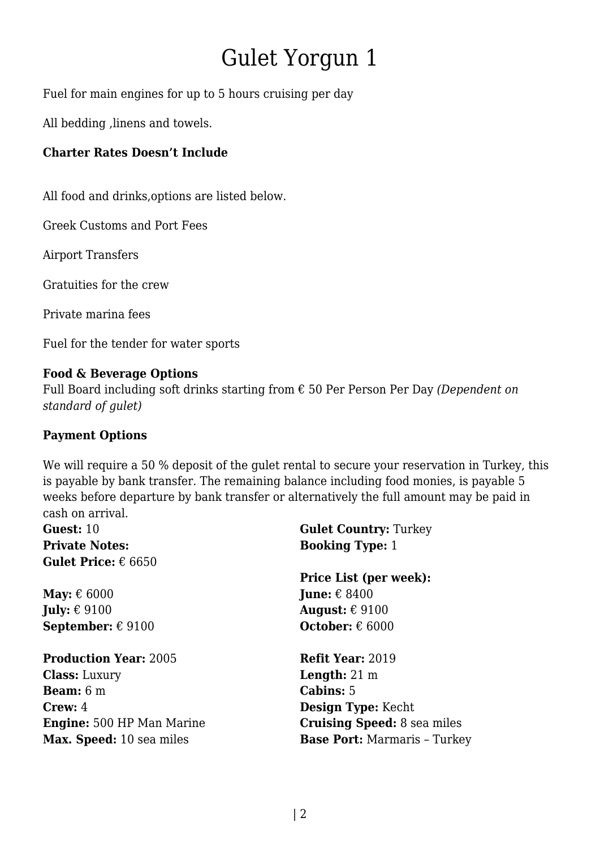Fuel for main engines for up to 5 hours cruising per day

All bedding ,linens and towels.

#### **Charter Rates Doesn't Include**

All food and drinks,options are listed below.

Greek Customs and Port Fees

Airport Transfers

Gratuities for the crew

Private marina fees

Fuel for the tender for water sports

#### **Food & Beverage Options**

Full Board including soft drinks starting from € 50 Per Person Per Day *(Dependent on standard of gulet)*

#### **Payment Options**

We will require a 50 % deposit of the quiet rental to secure your reservation in Turkey, this is payable by bank transfer. The remaining balance including food monies, is payable 5 weeks before departure by bank transfer or alternatively the full amount may be paid in cash on arrival.

| <b>Guest:</b> 10                    | <b>Gulet Country: Turkey</b>        |
|-------------------------------------|-------------------------------------|
| <b>Private Notes:</b>               | <b>Booking Type: 1</b>              |
| <b>Gulet Price:</b> $\epsilon$ 6650 |                                     |
|                                     | <b>Price List (per week):</b>       |
| May: $\epsilon$ 6000                | <b>June:</b> $\epsilon$ 8400        |
| July: $\epsilon$ 9100               | August: $\epsilon$ 9100             |
| <b>September:</b> $\epsilon$ 9100   | <b>October:</b> $\epsilon$ 6000     |
| <b>Production Year: 2005</b>        | <b>Refit Year: 2019</b>             |
| <b>Class:</b> Luxury                | <b>Length:</b> $21 \text{ m}$       |
| <b>Beam:</b> $6 \text{ m}$          | <b>Cabins:</b> 5                    |
| <b>Crew:</b> 4                      | <b>Design Type:</b> Kecht           |
| <b>Engine:</b> 500 HP Man Marine    | <b>Cruising Speed:</b> 8 sea miles  |
| Max. Speed: 10 sea miles            | <b>Base Port: Marmaris - Turkey</b> |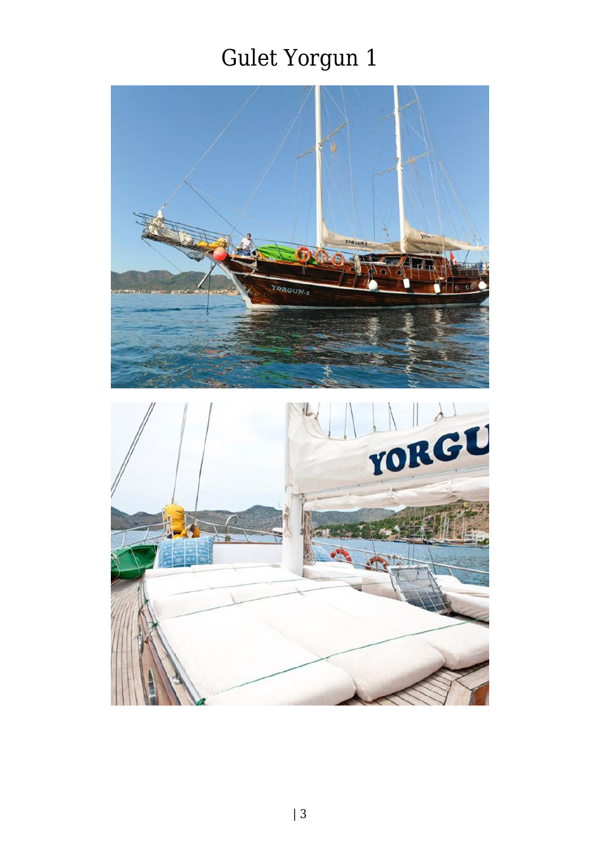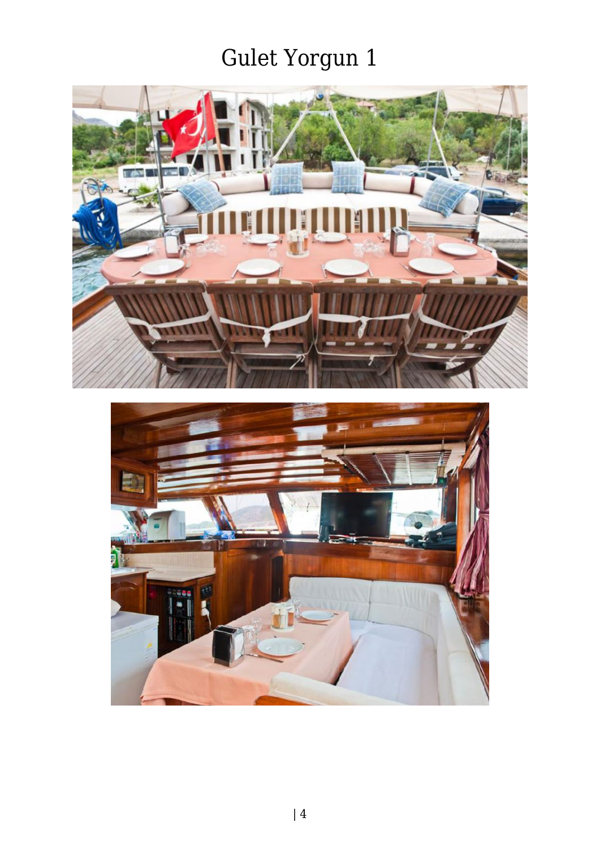

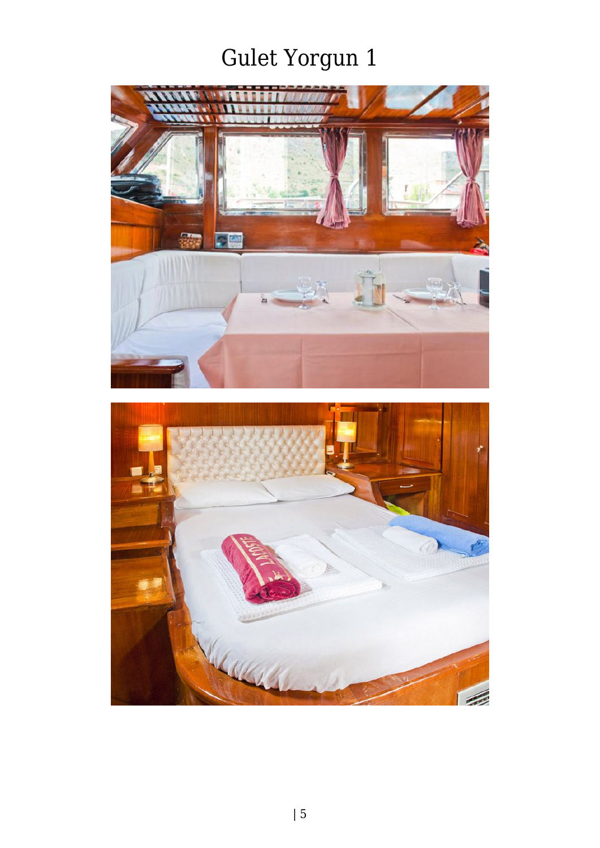